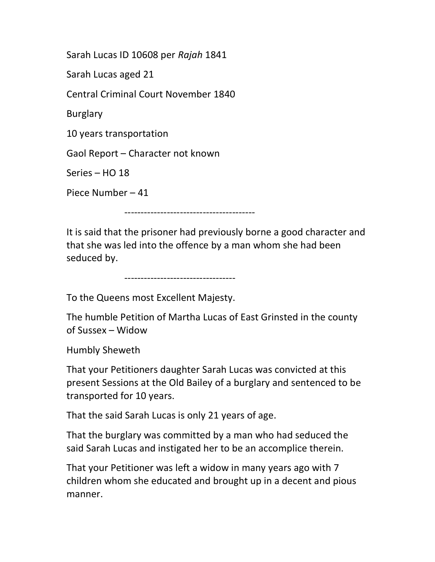Sarah Lucas ID 10608 per Rajah 1841

Sarah Lucas aged 21

Central Criminal Court November 1840

Burglary

10 years transportation

Gaol Report – Character not known

Series – HO 18

Piece Number – 41

----------------------------------------

It is said that the prisoner had previously borne a good character and that she was led into the offence by a man whom she had been seduced by.

----------------------------------

To the Queens most Excellent Majesty.

The humble Petition of Martha Lucas of East Grinsted in the county of Sussex – Widow

Humbly Sheweth

That your Petitioners daughter Sarah Lucas was convicted at this present Sessions at the Old Bailey of a burglary and sentenced to be transported for 10 years.

That the said Sarah Lucas is only 21 years of age.

That the burglary was committed by a man who had seduced the said Sarah Lucas and instigated her to be an accomplice therein.

That your Petitioner was left a widow in many years ago with 7 children whom she educated and brought up in a decent and pious manner.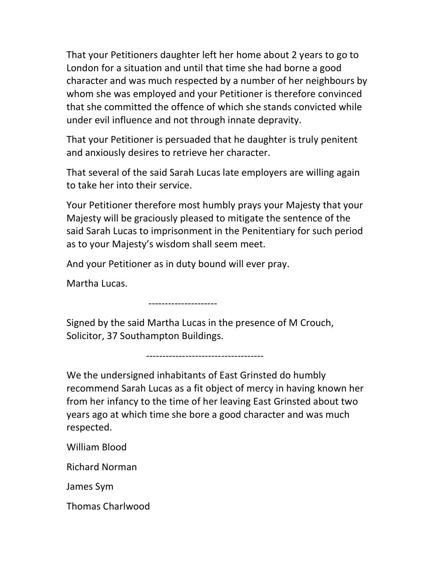That your Petitioners daughter left her home about 2 years to go to London for a situation and until that time she had borne a good character and was much respected by a number of her neighbours by whom she was employed and your Petitioner is therefore convinced that she committed the offence of which she stands convicted while under evil influence and not through innate depravity.

That your Petitioner is persuaded that he daughter is truly penitent and anxiously desires to retrieve her character.

That several of the said Sarah Lucas late employers are willing again to take her into their service.

Your Petitioner therefore most humbly prays your Majesty that your Majesty will be graciously pleased to mitigate the sentence of the said Sarah Lucas to imprisonment in the Penitentiary for such period as to your Majesty's wisdom shall seem meet.

And your Petitioner as in duty bound will ever pray.

Martha Lucas.

---------------------

Signed by the said Martha Lucas in the presence of M Crouch, Solicitor, 37 Southampton Buildings.

------------------------------------

We the undersigned inhabitants of East Grinsted do humbly recommend Sarah Lucas as a fit object of mercy in having known her from her infancy to the time of her leaving East Grinsted about two years ago at which time she bore a good character and was much respected.

William Blood

Richard Norman

James Sym

Thomas Charlwood